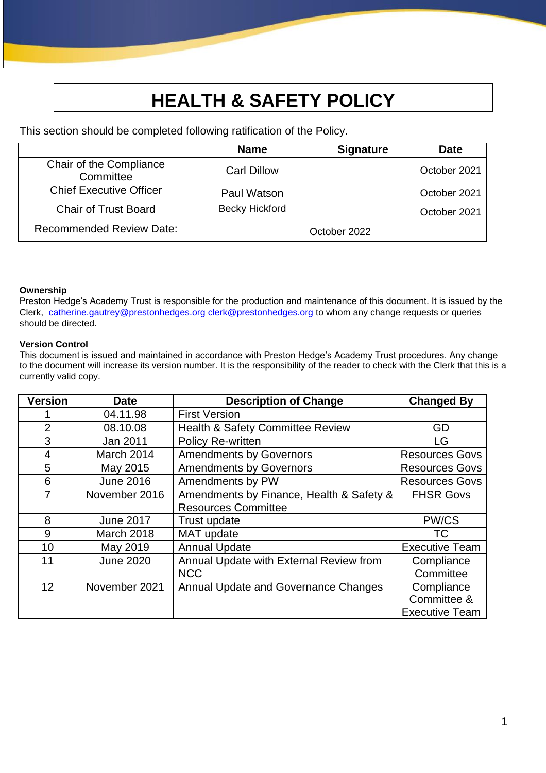# **HEALTH & SAFETY POLICY**

This section should be completed following ratification of the Policy.

|                                      | <b>Name</b>           | <b>Signature</b> | <b>Date</b>  |
|--------------------------------------|-----------------------|------------------|--------------|
| Chair of the Compliance<br>Committee | <b>Carl Dillow</b>    |                  | October 2021 |
| <b>Chief Executive Officer</b>       | Paul Watson           |                  | October 2021 |
| <b>Chair of Trust Board</b>          | <b>Becky Hickford</b> |                  | October 2021 |
| <b>Recommended Review Date:</b>      |                       | October 2022     |              |

#### **Ownership**

Preston Hedge's Academy Trust is responsible for the production and maintenance of this document. It is issued by the Clerk, catherine.gautrey@prestonhedges.org [clerk@prestonhedges.org](about:blank) to whom any change requests or queries should be directed.

#### **Version Control**

This document is issued and maintained in accordance with Preston Hedge's Academy Trust procedures. Any change to the document will increase its version number. It is the responsibility of the reader to check with the Clerk that this is a currently valid copy.

| <b>Version</b> | <b>Date</b>      | <b>Description of Change</b>                | <b>Changed By</b>     |
|----------------|------------------|---------------------------------------------|-----------------------|
|                | 04.11.98         | <b>First Version</b>                        |                       |
| $\overline{2}$ | 08.10.08         | <b>Health &amp; Safety Committee Review</b> | GD                    |
| 3              | Jan 2011         | <b>Policy Re-written</b>                    | <b>LG</b>             |
| 4              | March 2014       | <b>Amendments by Governors</b>              | <b>Resources Govs</b> |
| 5              | May 2015         | <b>Amendments by Governors</b>              | <b>Resources Govs</b> |
| 6              | <b>June 2016</b> | Amendments by PW                            | <b>Resources Govs</b> |
| 7              | November 2016    | Amendments by Finance, Health & Safety &    | <b>FHSR Govs</b>      |
|                |                  | <b>Resources Committee</b>                  |                       |
| 8              | <b>June 2017</b> | Trust update                                | <b>PW/CS</b>          |
| 9              | March 2018       | MAT update                                  | <b>TC</b>             |
| 10             | May 2019         | <b>Annual Update</b>                        | <b>Executive Team</b> |
| 11             | <b>June 2020</b> | Annual Update with External Review from     | Compliance            |
|                |                  | <b>NCC</b>                                  | Committee             |
| 12             | November 2021    | Annual Update and Governance Changes        | Compliance            |
|                |                  |                                             | Committee &           |
|                |                  |                                             | <b>Executive Team</b> |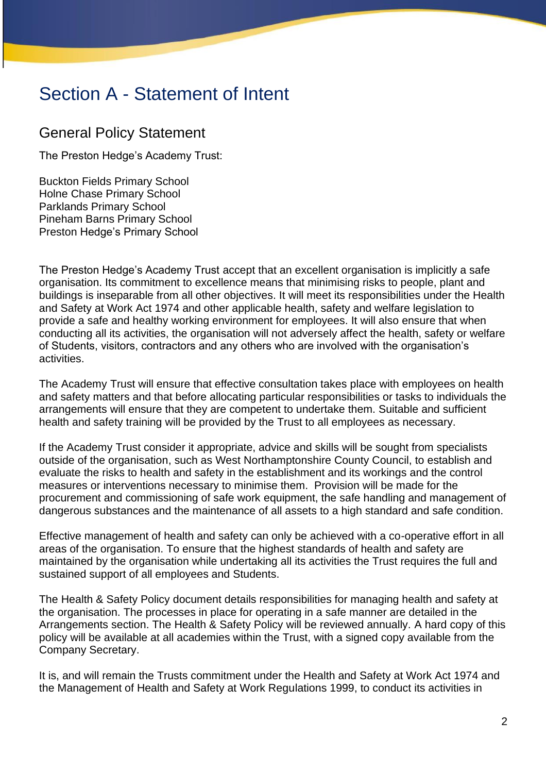# Section A - Statement of Intent

# General Policy Statement

The Preston Hedge's Academy Trust:

Buckton Fields Primary School Holne Chase Primary School Parklands Primary School Pineham Barns Primary School Preston Hedge's Primary School

The Preston Hedge's Academy Trust accept that an excellent organisation is implicitly a safe organisation. Its commitment to excellence means that minimising risks to people, plant and buildings is inseparable from all other objectives. It will meet its responsibilities under the Health and Safety at Work Act 1974 and other applicable health, safety and welfare legislation to provide a safe and healthy working environment for employees. It will also ensure that when conducting all its activities, the organisation will not adversely affect the health, safety or welfare of Students, visitors, contractors and any others who are involved with the organisation's activities.

The Academy Trust will ensure that effective consultation takes place with employees on health and safety matters and that before allocating particular responsibilities or tasks to individuals the arrangements will ensure that they are competent to undertake them. Suitable and sufficient health and safety training will be provided by the Trust to all employees as necessary.

If the Academy Trust consider it appropriate, advice and skills will be sought from specialists outside of the organisation, such as West Northamptonshire County Council, to establish and evaluate the risks to health and safety in the establishment and its workings and the control measures or interventions necessary to minimise them. Provision will be made for the procurement and commissioning of safe work equipment, the safe handling and management of dangerous substances and the maintenance of all assets to a high standard and safe condition.

Effective management of health and safety can only be achieved with a co-operative effort in all areas of the organisation. To ensure that the highest standards of health and safety are maintained by the organisation while undertaking all its activities the Trust requires the full and sustained support of all employees and Students.

The Health & Safety Policy document details responsibilities for managing health and safety at the organisation. The processes in place for operating in a safe manner are detailed in the Arrangements section. The Health & Safety Policy will be reviewed annually. A hard copy of this policy will be available at all academies within the Trust, with a signed copy available from the Company Secretary.

It is, and will remain the Trusts commitment under the Health and Safety at Work Act 1974 and the Management of Health and Safety at Work Regulations 1999, to conduct its activities in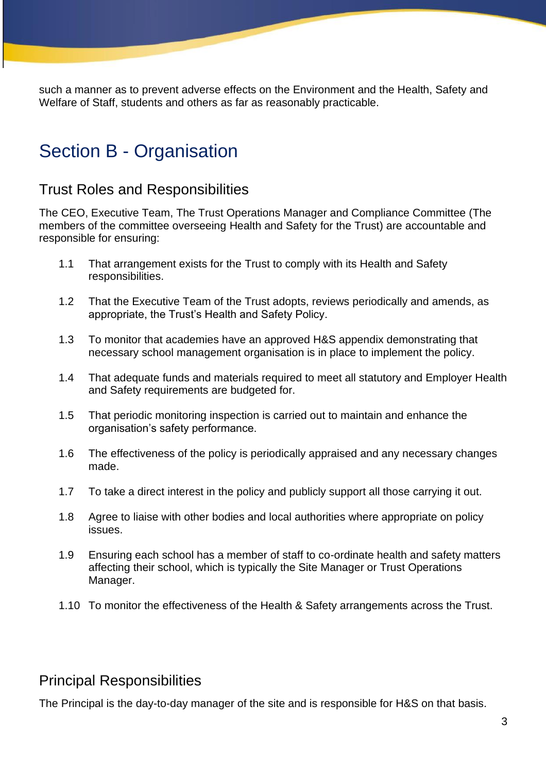such a manner as to prevent adverse effects on the Environment and the Health, Safety and Welfare of Staff, students and others as far as reasonably practicable.

# Section B - Organisation

# Trust Roles and Responsibilities

The CEO, Executive Team, The Trust Operations Manager and Compliance Committee (The members of the committee overseeing Health and Safety for the Trust) are accountable and responsible for ensuring:

- 1.1 That arrangement exists for the Trust to comply with its Health and Safety responsibilities.
- 1.2 That the Executive Team of the Trust adopts, reviews periodically and amends, as appropriate, the Trust's Health and Safety Policy.
- 1.3 To monitor that academies have an approved H&S appendix demonstrating that necessary school management organisation is in place to implement the policy.
- 1.4 That adequate funds and materials required to meet all statutory and Employer Health and Safety requirements are budgeted for.
- 1.5 That periodic monitoring inspection is carried out to maintain and enhance the organisation's safety performance.
- 1.6 The effectiveness of the policy is periodically appraised and any necessary changes made.
- 1.7 To take a direct interest in the policy and publicly support all those carrying it out.
- 1.8 Agree to liaise with other bodies and local authorities where appropriate on policy issues.
- 1.9 Ensuring each school has a member of staff to co-ordinate health and safety matters affecting their school, which is typically the Site Manager or Trust Operations Manager.
- 1.10 To monitor the effectiveness of the Health & Safety arrangements across the Trust.

# Principal Responsibilities

The Principal is the day-to-day manager of the site and is responsible for H&S on that basis.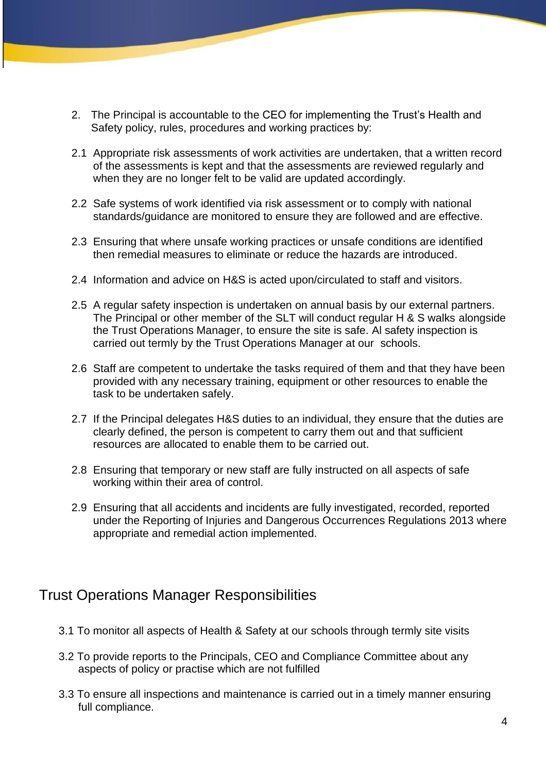- 2. The Principal is accountable to the CEO for implementing the Trust's Health and Safety policy, rules, procedures and working practices by:
- 2.1 Appropriate risk assessments of work activities are undertaken, that a written record of the assessments is kept and that the assessments are reviewed regularly and when they are no longer felt to be valid are updated accordingly.
- 2.2 Safe systems of work identified via risk assessment or to comply with national standards/guidance are monitored to ensure they are followed and are effective.
- 2.3 Ensuring that where unsafe working practices or unsafe conditions are identified then remedial measures to eliminate or reduce the hazards are introduced.
- 2.4 Information and advice on H&S is acted upon/circulated to staff and visitors.
- 2.5 A regular safety inspection is undertaken on annual basis by our external partners. The Principal or other member of the SLT will conduct regular H & S walks alongside the Trust Operations Manager, to ensure the site is safe. Al safety inspection is carried out termly by the Trust Operations Manager at our schools.
- 2.6 Staff are competent to undertake the tasks required of them and that they have been provided with any necessary training, equipment or other resources to enable the task to be undertaken safely.
- 2.7 If the Principal delegates H&S duties to an individual, they ensure that the duties are clearly defined, the person is competent to carry them out and that sufficient resources are allocated to enable them to be carried out.
- 2.8 Ensuring that temporary or new staff are fully instructed on all aspects of safe working within their area of control.
- 2.9 Ensuring that all accidents and incidents are fully investigated, recorded, reported under the Reporting of Injuries and Dangerous Occurrences Regulations 2013 where appropriate and remedial action implemented.

# Trust Operations Manager Responsibilities

- 3.1 To monitor all aspects of Health & Safety at our schools through termly site visits
- 3.2 To provide reports to the Principals, CEO and Compliance Committee about any aspects of policy or practise which are not fulfilled
- 3.3 To ensure all inspections and maintenance is carried out in a timely manner ensuring full compliance.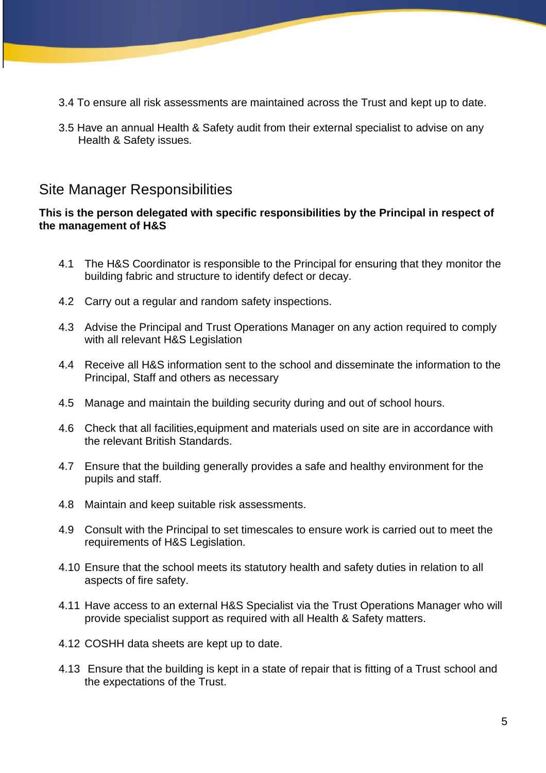- 3.4 To ensure all risk assessments are maintained across the Trust and kept up to date.
- 3.5 Have an annual Health & Safety audit from their external specialist to advise on any Health & Safety issues.

# Site Manager Responsibilities

#### **This is the person delegated with specific responsibilities by the Principal in respect of the management of H&S**

- 4.1 The H&S Coordinator is responsible to the Principal for ensuring that they monitor the building fabric and structure to identify defect or decay.
- 4.2 Carry out a regular and random safety inspections.
- 4.3 Advise the Principal and Trust Operations Manager on any action required to comply with all relevant H&S Legislation
- 4.4 Receive all H&S information sent to the school and disseminate the information to the Principal, Staff and others as necessary
- 4.5 Manage and maintain the building security during and out of school hours.
- 4.6 Check that all facilities,equipment and materials used on site are in accordance with the relevant British Standards.
- 4.7 Ensure that the building generally provides a safe and healthy environment for the pupils and staff.
- 4.8 Maintain and keep suitable risk assessments.
- 4.9 Consult with the Principal to set timescales to ensure work is carried out to meet the requirements of H&S Legislation.
- 4.10 Ensure that the school meets its statutory health and safety duties in relation to all aspects of fire safety.
- 4.11 Have access to an external H&S Specialist via the Trust Operations Manager who will provide specialist support as required with all Health & Safety matters.
- 4.12 COSHH data sheets are kept up to date.
- 4.13 Ensure that the building is kept in a state of repair that is fitting of a Trust school and the expectations of the Trust.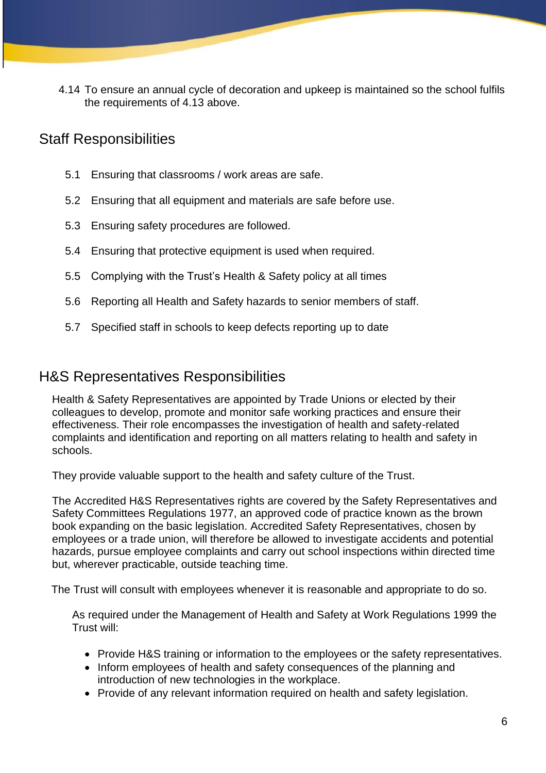4.14 To ensure an annual cycle of decoration and upkeep is maintained so the school fulfils the requirements of 4.13 above.

# Staff Responsibilities

- 5.1 Ensuring that classrooms / work areas are safe.
- 5.2 Ensuring that all equipment and materials are safe before use.
- 5.3 Ensuring safety procedures are followed.
- 5.4 Ensuring that protective equipment is used when required.
- 5.5 Complying with the Trust's Health & Safety policy at all times
- 5.6 Reporting all Health and Safety hazards to senior members of staff.
- 5.7 Specified staff in schools to keep defects reporting up to date

## H&S Representatives Responsibilities

Health & Safety Representatives are appointed by Trade Unions or elected by their colleagues to develop, promote and monitor safe working practices and ensure their effectiveness. Their role encompasses the investigation of health and safety-related complaints and identification and reporting on all matters relating to health and safety in schools.

They provide valuable support to the health and safety culture of the Trust.

The Accredited H&S Representatives rights are covered by the Safety Representatives and Safety Committees Regulations 1977, an approved code of practice known as the brown book expanding on the basic legislation. Accredited Safety Representatives, chosen by employees or a trade union, will therefore be allowed to investigate accidents and potential hazards, pursue employee complaints and carry out school inspections within directed time but, wherever practicable, outside teaching time.

The Trust will consult with employees whenever it is reasonable and appropriate to do so.

As required under the Management of Health and Safety at Work Regulations 1999 the Trust will:

- Provide H&S training or information to the employees or the safety representatives.
- Inform employees of health and safety consequences of the planning and introduction of new technologies in the workplace.
- Provide of any relevant information required on health and safety legislation.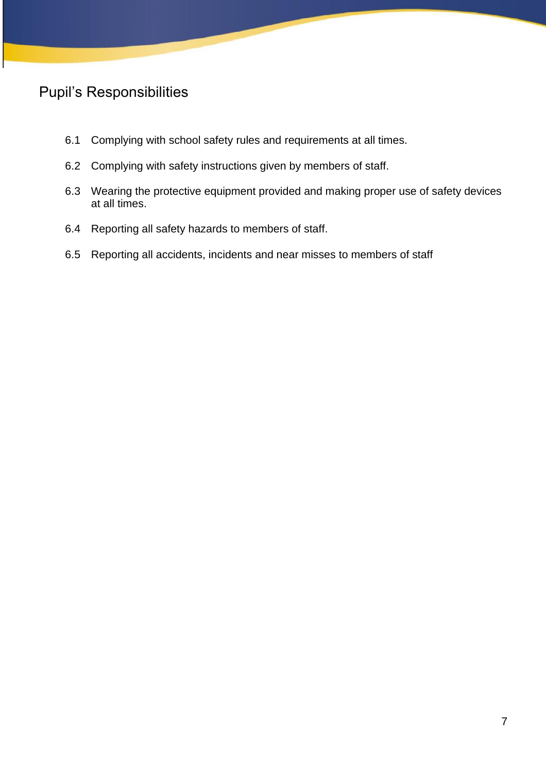# Pupil's Responsibilities

- 6.1 Complying with school safety rules and requirements at all times.
- 6.2 Complying with safety instructions given by members of staff.
- 6.3 Wearing the protective equipment provided and making proper use of safety devices at all times.
- 6.4 Reporting all safety hazards to members of staff.
- 6.5 Reporting all accidents, incidents and near misses to members of staff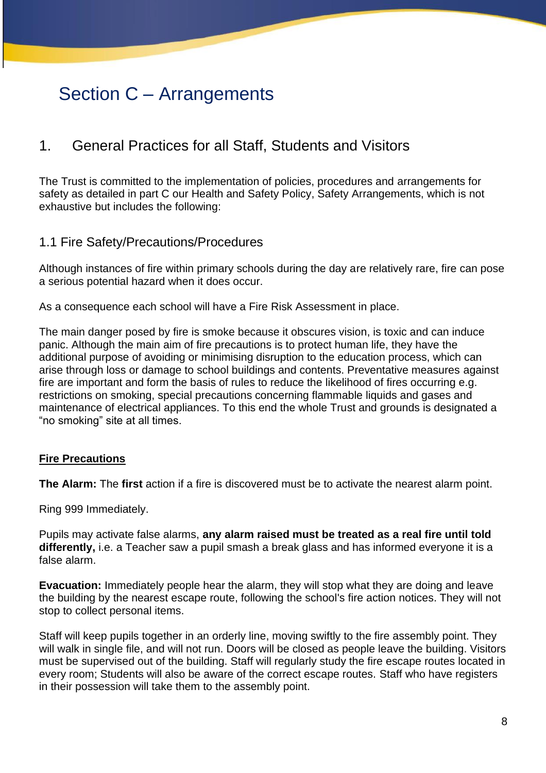# Section C – Arrangements

# 1. General Practices for all Staff, Students and Visitors

The Trust is committed to the implementation of policies, procedures and arrangements for safety as detailed in part C our Health and Safety Policy, Safety Arrangements, which is not exhaustive but includes the following:

## 1.1 Fire Safety/Precautions/Procedures

Although instances of fire within primary schools during the day are relatively rare, fire can pose a serious potential hazard when it does occur.

As a consequence each school will have a Fire Risk Assessment in place.

The main danger posed by fire is smoke because it obscures vision, is toxic and can induce panic. Although the main aim of fire precautions is to protect human life, they have the additional purpose of avoiding or minimising disruption to the education process, which can arise through loss or damage to school buildings and contents. Preventative measures against fire are important and form the basis of rules to reduce the likelihood of fires occurring e.g. restrictions on smoking, special precautions concerning flammable liquids and gases and maintenance of electrical appliances. To this end the whole Trust and grounds is designated a "no smoking" site at all times.

## **Fire Precautions**

**The Alarm:** The **first** action if a fire is discovered must be to activate the nearest alarm point.

Ring 999 Immediately.

Pupils may activate false alarms, **any alarm raised must be treated as a real fire until told differently,** i.e. a Teacher saw a pupil smash a break glass and has informed everyone it is a false alarm.

**Evacuation:** Immediately people hear the alarm, they will stop what they are doing and leave the building by the nearest escape route, following the school's fire action notices. They will not stop to collect personal items.

Staff will keep pupils together in an orderly line, moving swiftly to the fire assembly point. They will walk in single file, and will not run. Doors will be closed as people leave the building. Visitors must be supervised out of the building. Staff will regularly study the fire escape routes located in every room; Students will also be aware of the correct escape routes. Staff who have registers in their possession will take them to the assembly point.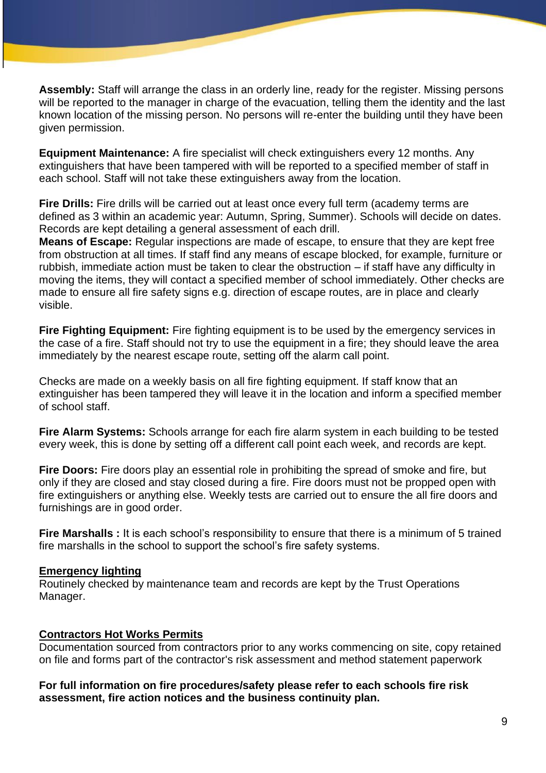**Assembly:** Staff will arrange the class in an orderly line, ready for the register. Missing persons will be reported to the manager in charge of the evacuation, telling them the identity and the last known location of the missing person. No persons will re-enter the building until they have been given permission.

**Equipment Maintenance:** A fire specialist will check extinguishers every 12 months. Any extinguishers that have been tampered with will be reported to a specified member of staff in each school. Staff will not take these extinguishers away from the location.

**Fire Drills:** Fire drills will be carried out at least once every full term (academy terms are defined as 3 within an academic year: Autumn, Spring, Summer). Schools will decide on dates. Records are kept detailing a general assessment of each drill.

**Means of Escape:** Regular inspections are made of escape, to ensure that they are kept free from obstruction at all times. If staff find any means of escape blocked, for example, furniture or rubbish, immediate action must be taken to clear the obstruction – if staff have any difficulty in moving the items, they will contact a specified member of school immediately. Other checks are made to ensure all fire safety signs e.g. direction of escape routes, are in place and clearly visible.

**Fire Fighting Equipment:** Fire fighting equipment is to be used by the emergency services in the case of a fire. Staff should not try to use the equipment in a fire; they should leave the area immediately by the nearest escape route, setting off the alarm call point.

Checks are made on a weekly basis on all fire fighting equipment. If staff know that an extinguisher has been tampered they will leave it in the location and inform a specified member of school staff.

**Fire Alarm Systems:** Schools arrange for each fire alarm system in each building to be tested every week, this is done by setting off a different call point each week, and records are kept.

**Fire Doors:** Fire doors play an essential role in prohibiting the spread of smoke and fire, but only if they are closed and stay closed during a fire. Fire doors must not be propped open with fire extinguishers or anything else. Weekly tests are carried out to ensure the all fire doors and furnishings are in good order.

**Fire Marshalls :** It is each school's responsibility to ensure that there is a minimum of 5 trained fire marshalls in the school to support the school's fire safety systems.

#### **Emergency lighting**

Routinely checked by maintenance team and records are kept by the Trust Operations Manager.

#### **Contractors Hot Works Permits**

Documentation sourced from contractors prior to any works commencing on site, copy retained on file and forms part of the contractor's risk assessment and method statement paperwork

#### **For full information on fire procedures/safety please refer to each schools fire risk assessment, fire action notices and the business continuity plan.**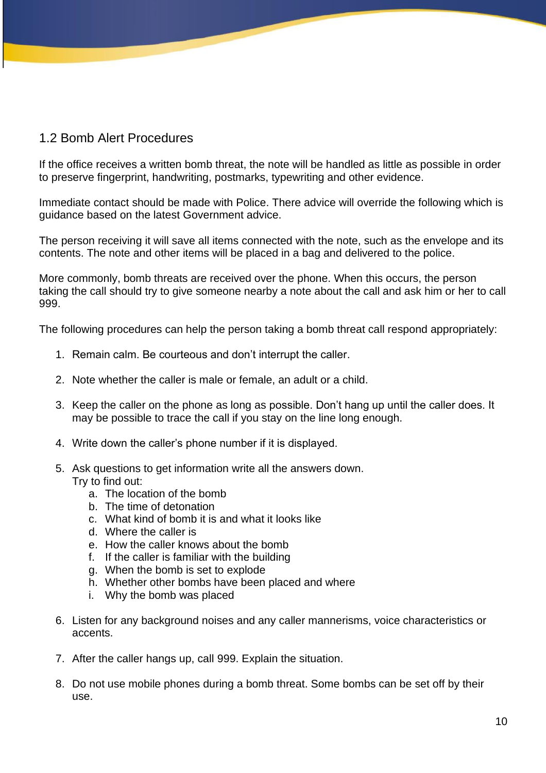## 1.2 Bomb Alert Procedures

If the office receives a written bomb threat, the note will be handled as little as possible in order to preserve fingerprint, handwriting, postmarks, typewriting and other evidence.

Immediate contact should be made with Police. There advice will override the following which is guidance based on the latest Government advice.

The person receiving it will save all items connected with the note, such as the envelope and its contents. The note and other items will be placed in a bag and delivered to the police.

More commonly, bomb threats are received over the phone. When this occurs, the person taking the call should try to give someone nearby a note about the call and ask him or her to call 999.

The following procedures can help the person taking a bomb threat call respond appropriately:

- 1. Remain calm. Be courteous and don't interrupt the caller.
- 2. Note whether the caller is male or female, an adult or a child.
- 3. Keep the caller on the phone as long as possible. Don't hang up until the caller does. It may be possible to trace the call if you stay on the line long enough.
- 4. Write down the caller's phone number if it is displayed.
- 5. Ask questions to get information write all the answers down.
	- Try to find out:
		- a. The location of the bomb
		- b. The time of detonation
		- c. What kind of bomb it is and what it looks like
		- d. Where the caller is
		- e. How the caller knows about the bomb
		- f. If the caller is familiar with the building
		- g. When the bomb is set to explode
		- h. Whether other bombs have been placed and where
		- i. Why the bomb was placed
- 6. Listen for any background noises and any caller mannerisms, voice characteristics or accents.
- 7. After the caller hangs up, call 999. Explain the situation.
- 8. Do not use mobile phones during a bomb threat. Some bombs can be set off by their use.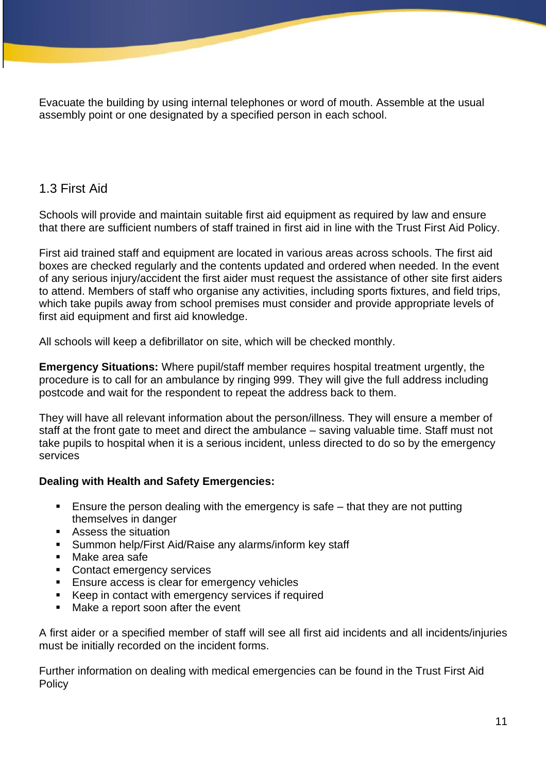Evacuate the building by using internal telephones or word of mouth. Assemble at the usual assembly point or one designated by a specified person in each school.

## 1.3 First Aid

Schools will provide and maintain suitable first aid equipment as required by law and ensure that there are sufficient numbers of staff trained in first aid in line with the Trust First Aid Policy.

First aid trained staff and equipment are located in various areas across schools. The first aid boxes are checked regularly and the contents updated and ordered when needed. In the event of any serious injury/accident the first aider must request the assistance of other site first aiders to attend. Members of staff who organise any activities, including sports fixtures, and field trips, which take pupils away from school premises must consider and provide appropriate levels of first aid equipment and first aid knowledge.

All schools will keep a defibrillator on site, which will be checked monthly.

**Emergency Situations:** Where pupil/staff member requires hospital treatment urgently, the procedure is to call for an ambulance by ringing 999. They will give the full address including postcode and wait for the respondent to repeat the address back to them.

They will have all relevant information about the person/illness. They will ensure a member of staff at the front gate to meet and direct the ambulance – saving valuable time. Staff must not take pupils to hospital when it is a serious incident, unless directed to do so by the emergency services

## **Dealing with Health and Safety Emergencies:**

- Ensure the person dealing with the emergency is safe that they are not putting themselves in danger
- Assess the situation
- Summon help/First Aid/Raise any alarms/inform key staff
- Make area safe
- Contact emergency services
- Ensure access is clear for emergency vehicles
- Keep in contact with emergency services if required
- Make a report soon after the event

A first aider or a specified member of staff will see all first aid incidents and all incidents/injuries must be initially recorded on the incident forms.

Further information on dealing with medical emergencies can be found in the Trust First Aid **Policy**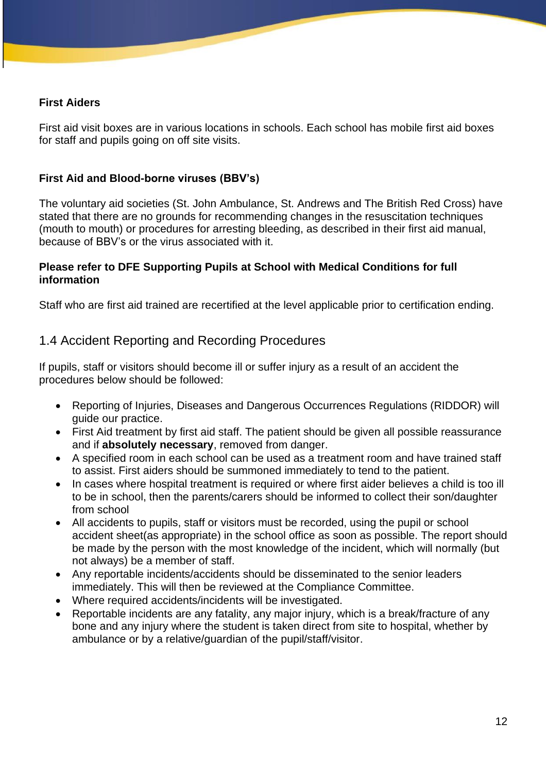#### **First Aiders**

First aid visit boxes are in various locations in schools. Each school has mobile first aid boxes for staff and pupils going on off site visits.

#### **First Aid and Blood-borne viruses (BBV's)**

The voluntary aid societies (St. John Ambulance, St. Andrews and The British Red Cross) have stated that there are no grounds for recommending changes in the resuscitation techniques (mouth to mouth) or procedures for arresting bleeding, as described in their first aid manual, because of BBV's or the virus associated with it.

#### **Please refer to DFE Supporting Pupils at School with Medical Conditions for full information**

Staff who are first aid trained are recertified at the level applicable prior to certification ending.

## 1.4 Accident Reporting and Recording Procedures

If pupils, staff or visitors should become ill or suffer injury as a result of an accident the procedures below should be followed:

- Reporting of Injuries, Diseases and Dangerous Occurrences Regulations (RIDDOR) will guide our practice.
- First Aid treatment by first aid staff. The patient should be given all possible reassurance and if **absolutely necessary**, removed from danger.
- A specified room in each school can be used as a treatment room and have trained staff to assist. First aiders should be summoned immediately to tend to the patient.
- In cases where hospital treatment is required or where first aider believes a child is too ill to be in school, then the parents/carers should be informed to collect their son/daughter from school
- All accidents to pupils, staff or visitors must be recorded, using the pupil or school accident sheet(as appropriate) in the school office as soon as possible. The report should be made by the person with the most knowledge of the incident, which will normally (but not always) be a member of staff.
- Any reportable incidents/accidents should be disseminated to the senior leaders immediately. This will then be reviewed at the Compliance Committee.
- Where required accidents/incidents will be investigated.
- Reportable incidents are any fatality, any major injury, which is a break/fracture of any bone and any injury where the student is taken direct from site to hospital, whether by ambulance or by a relative/guardian of the pupil/staff/visitor.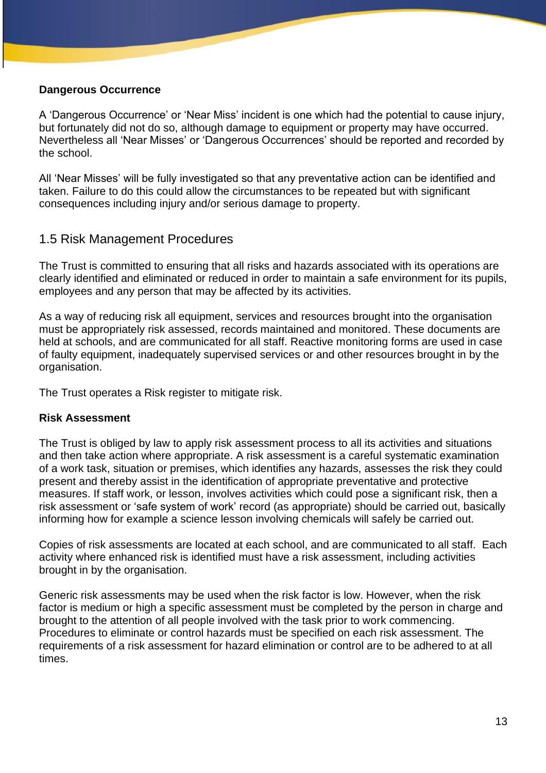#### **Dangerous Occurrence**

A 'Dangerous Occurrence' or 'Near Miss' incident is one which had the potential to cause injury, but fortunately did not do so, although damage to equipment or property may have occurred. Nevertheless all 'Near Misses' or 'Dangerous Occurrences' should be reported and recorded by the school.

All 'Near Misses' will be fully investigated so that any preventative action can be identified and taken. Failure to do this could allow the circumstances to be repeated but with significant consequences including injury and/or serious damage to property.

## 1.5 Risk Management Procedures

The Trust is committed to ensuring that all risks and hazards associated with its operations are clearly identified and eliminated or reduced in order to maintain a safe environment for its pupils, employees and any person that may be affected by its activities.

As a way of reducing risk all equipment, services and resources brought into the organisation must be appropriately risk assessed, records maintained and monitored. These documents are held at schools, and are communicated for all staff. Reactive monitoring forms are used in case of faulty equipment, inadequately supervised services or and other resources brought in by the organisation.

The Trust operates a Risk register to mitigate risk.

#### **Risk Assessment**

The Trust is obliged by law to apply risk assessment process to all its activities and situations and then take action where appropriate. A risk assessment is a careful systematic examination of a work task, situation or premises, which identifies any hazards, assesses the risk they could present and thereby assist in the identification of appropriate preventative and protective measures. If staff work, or lesson, involves activities which could pose a significant risk, then a risk assessment or 'safe system of work' record (as appropriate) should be carried out, basically informing how for example a science lesson involving chemicals will safely be carried out.

Copies of risk assessments are located at each school, and are communicated to all staff. Each activity where enhanced risk is identified must have a risk assessment, including activities brought in by the organisation.

Generic risk assessments may be used when the risk factor is low. However, when the risk factor is medium or high a specific assessment must be completed by the person in charge and brought to the attention of all people involved with the task prior to work commencing. Procedures to eliminate or control hazards must be specified on each risk assessment. The requirements of a risk assessment for hazard elimination or control are to be adhered to at all times.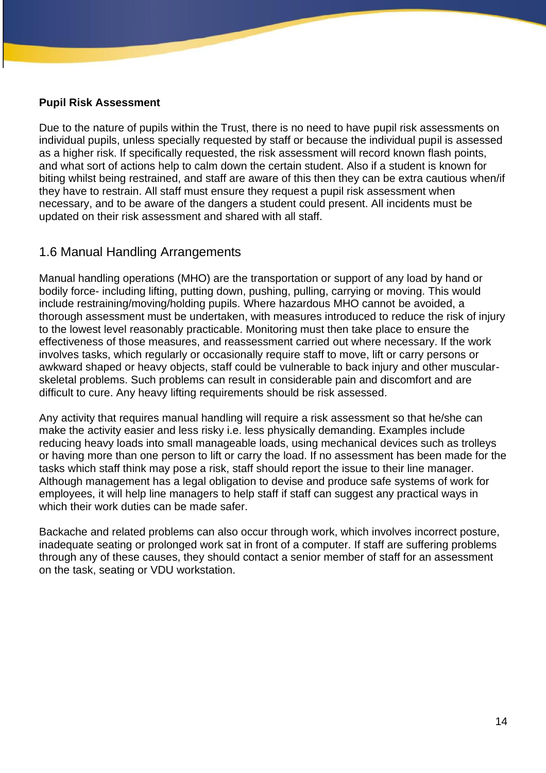#### **Pupil Risk Assessment**

Due to the nature of pupils within the Trust, there is no need to have pupil risk assessments on individual pupils, unless specially requested by staff or because the individual pupil is assessed as a higher risk. If specifically requested, the risk assessment will record known flash points, and what sort of actions help to calm down the certain student. Also if a student is known for biting whilst being restrained, and staff are aware of this then they can be extra cautious when/if they have to restrain. All staff must ensure they request a pupil risk assessment when necessary, and to be aware of the dangers a student could present. All incidents must be updated on their risk assessment and shared with all staff.

## 1.6 Manual Handling Arrangements

Manual handling operations (MHO) are the transportation or support of any load by hand or bodily force- including lifting, putting down, pushing, pulling, carrying or moving. This would include restraining/moving/holding pupils. Where hazardous MHO cannot be avoided, a thorough assessment must be undertaken, with measures introduced to reduce the risk of injury to the lowest level reasonably practicable. Monitoring must then take place to ensure the effectiveness of those measures, and reassessment carried out where necessary. If the work involves tasks, which regularly or occasionally require staff to move, lift or carry persons or awkward shaped or heavy objects, staff could be vulnerable to back injury and other muscularskeletal problems. Such problems can result in considerable pain and discomfort and are difficult to cure. Any heavy lifting requirements should be risk assessed.

Any activity that requires manual handling will require a risk assessment so that he/she can make the activity easier and less risky i.e. less physically demanding. Examples include reducing heavy loads into small manageable loads, using mechanical devices such as trolleys or having more than one person to lift or carry the load. If no assessment has been made for the tasks which staff think may pose a risk, staff should report the issue to their line manager. Although management has a legal obligation to devise and produce safe systems of work for employees, it will help line managers to help staff if staff can suggest any practical ways in which their work duties can be made safer.

Backache and related problems can also occur through work, which involves incorrect posture, inadequate seating or prolonged work sat in front of a computer. If staff are suffering problems through any of these causes, they should contact a senior member of staff for an assessment on the task, seating or VDU workstation.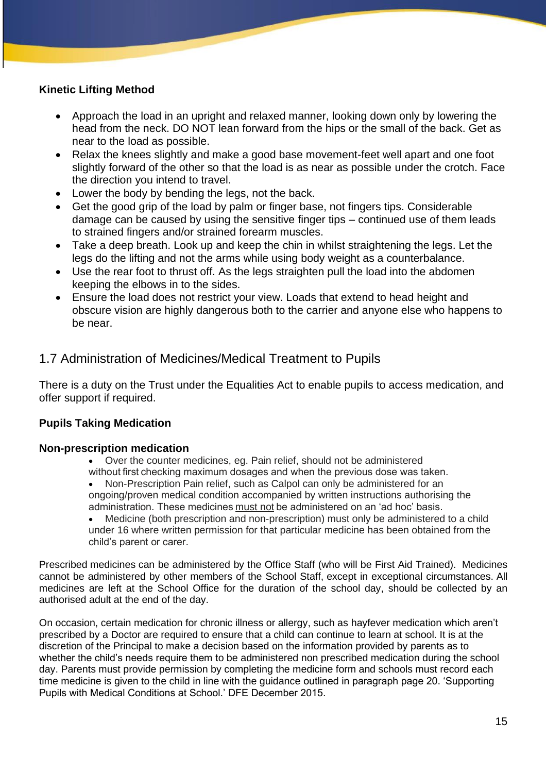## **Kinetic Lifting Method**

- Approach the load in an upright and relaxed manner, looking down only by lowering the head from the neck. DO NOT lean forward from the hips or the small of the back. Get as near to the load as possible.
- Relax the knees slightly and make a good base movement-feet well apart and one foot slightly forward of the other so that the load is as near as possible under the crotch. Face the direction you intend to travel.
- Lower the body by bending the legs, not the back.
- Get the good grip of the load by palm or finger base, not fingers tips. Considerable damage can be caused by using the sensitive finger tips – continued use of them leads to strained fingers and/or strained forearm muscles.
- Take a deep breath. Look up and keep the chin in whilst straightening the legs. Let the legs do the lifting and not the arms while using body weight as a counterbalance.
- Use the rear foot to thrust off. As the legs straighten pull the load into the abdomen keeping the elbows in to the sides.
- Ensure the load does not restrict your view. Loads that extend to head height and obscure vision are highly dangerous both to the carrier and anyone else who happens to be near.

## 1.7 Administration of Medicines/Medical Treatment to Pupils

There is a duty on the Trust under the Equalities Act to enable pupils to access medication, and offer support if required.

## **Pupils Taking Medication**

#### **Non-prescription medication**

- Over the counter medicines, eg. Pain relief, should not be administered without first checking maximum dosages and when the previous dose was taken.
- Non-Prescription Pain relief, such as Calpol can only be administered for an ongoing/proven medical condition accompanied by written instructions authorising the administration. These medicines must not be administered on an 'ad hoc' basis.
- Medicine (both prescription and non-prescription) must only be administered to a child under 16 where written permission for that particular medicine has been obtained from the child's parent or carer.

Prescribed medicines can be administered by the Office Staff (who will be First Aid Trained). Medicines cannot be administered by other members of the School Staff, except in exceptional circumstances. All medicines are left at the School Office for the duration of the school day, should be collected by an authorised adult at the end of the day.

On occasion, certain medication for chronic illness or allergy, such as hayfever medication which aren't prescribed by a Doctor are required to ensure that a child can continue to learn at school. It is at the discretion of the Principal to make a decision based on the information provided by parents as to whether the child's needs require them to be administered non prescribed medication during the school day. Parents must provide permission by completing the medicine form and schools must record each time medicine is given to the child in line with the guidance outlined in paragraph page 20. 'Supporting Pupils with Medical Conditions at School.' DFE December 2015.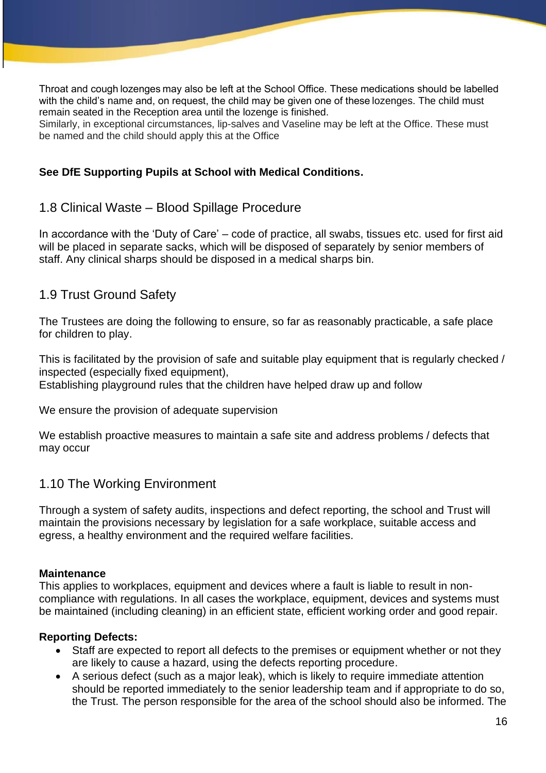Throat and cough lozenges may also be left at the School Office. These medications should be labelled with the child's name and, on request, the child may be given one of these lozenges. The child must remain seated in the Reception area until the lozenge is finished.

Similarly, in exceptional circumstances, lip-salves and Vaseline may be left at the Office. These must be named and the child should apply this at the Office

#### **See DfE Supporting Pupils at School with Medical Conditions.**

## 1.8 Clinical Waste – Blood Spillage Procedure

In accordance with the 'Duty of Care' – code of practice, all swabs, tissues etc. used for first aid will be placed in separate sacks, which will be disposed of separately by senior members of staff. Any clinical sharps should be disposed in a medical sharps bin.

## 1.9 Trust Ground Safety

The Trustees are doing the following to ensure, so far as reasonably practicable, a safe place for children to play.

This is facilitated by the provision of safe and suitable play equipment that is regularly checked / inspected (especially fixed equipment),

Establishing playground rules that the children have helped draw up and follow

We ensure the provision of adequate supervision

We establish proactive measures to maintain a safe site and address problems / defects that may occur

## 1.10 The Working Environment

Through a system of safety audits, inspections and defect reporting, the school and Trust will maintain the provisions necessary by legislation for a safe workplace, suitable access and egress, a healthy environment and the required welfare facilities.

#### **Maintenance**

This applies to workplaces, equipment and devices where a fault is liable to result in noncompliance with regulations. In all cases the workplace, equipment, devices and systems must be maintained (including cleaning) in an efficient state, efficient working order and good repair.

#### **Reporting Defects:**

- Staff are expected to report all defects to the premises or equipment whether or not they are likely to cause a hazard, using the defects reporting procedure.
- A serious defect (such as a major leak), which is likely to require immediate attention should be reported immediately to the senior leadership team and if appropriate to do so, the Trust. The person responsible for the area of the school should also be informed. The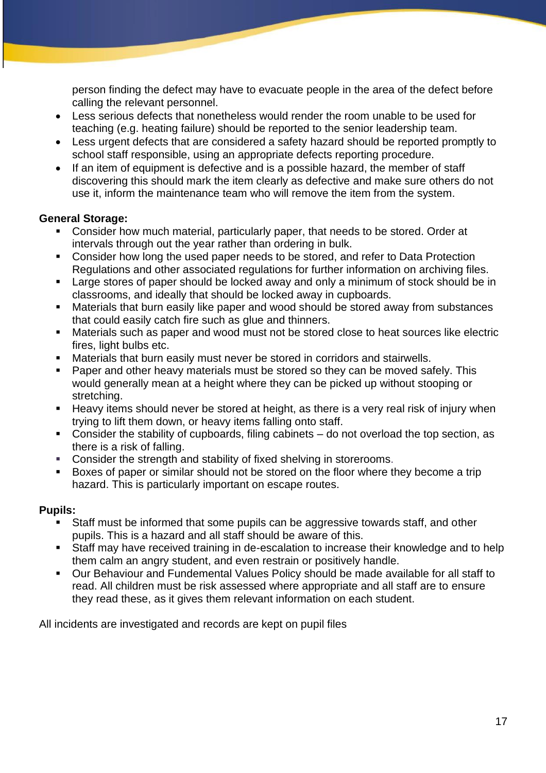person finding the defect may have to evacuate people in the area of the defect before calling the relevant personnel.

- Less serious defects that nonetheless would render the room unable to be used for teaching (e.g. heating failure) should be reported to the senior leadership team.
- Less urgent defects that are considered a safety hazard should be reported promptly to school staff responsible, using an appropriate defects reporting procedure.
- If an item of equipment is defective and is a possible hazard, the member of staff discovering this should mark the item clearly as defective and make sure others do not use it, inform the maintenance team who will remove the item from the system.

## **General Storage:**

- Consider how much material, particularly paper, that needs to be stored. Order at intervals through out the year rather than ordering in bulk.
- Consider how long the used paper needs to be stored, and refer to Data Protection Regulations and other associated regulations for further information on archiving files.
- Large stores of paper should be locked away and only a minimum of stock should be in classrooms, and ideally that should be locked away in cupboards.
- Materials that burn easily like paper and wood should be stored away from substances that could easily catch fire such as glue and thinners.
- Materials such as paper and wood must not be stored close to heat sources like electric fires, light bulbs etc.
- Materials that burn easily must never be stored in corridors and stairwells.
- Paper and other heavy materials must be stored so they can be moved safely. This would generally mean at a height where they can be picked up without stooping or stretching.
- Heavy items should never be stored at height, as there is a very real risk of injury when trying to lift them down, or heavy items falling onto staff.
- Consider the stability of cupboards, filing cabinets do not overload the top section, as there is a risk of falling.
- Consider the strength and stability of fixed shelving in storerooms.
- Boxes of paper or similar should not be stored on the floor where they become a trip hazard. This is particularly important on escape routes.

## **Pupils:**

- Staff must be informed that some pupils can be aggressive towards staff, and other pupils. This is a hazard and all staff should be aware of this.
- Staff may have received training in de-escalation to increase their knowledge and to help them calm an angry student, and even restrain or positively handle.
- Our Behaviour and Fundemental Values Policy should be made available for all staff to read. All children must be risk assessed where appropriate and all staff are to ensure they read these, as it gives them relevant information on each student.

All incidents are investigated and records are kept on pupil files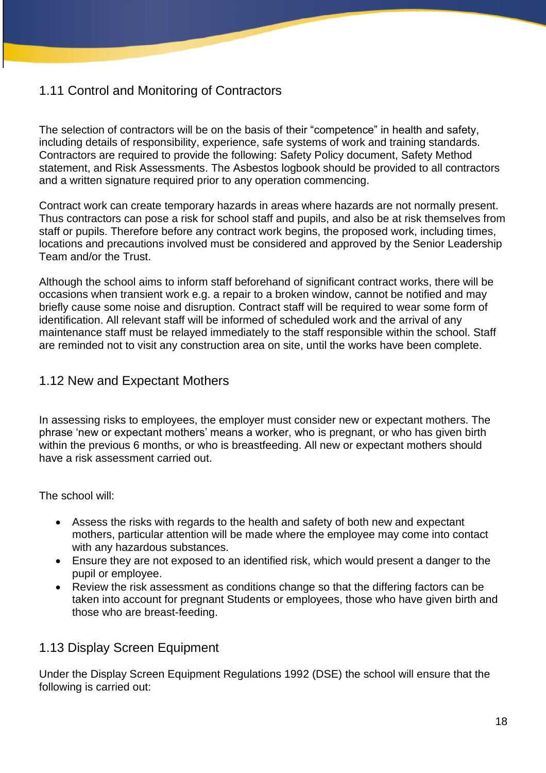# 1.11 Control and Monitoring of Contractors

The selection of contractors will be on the basis of their "competence" in health and safety, including details of responsibility, experience, safe systems of work and training standards. Contractors are required to provide the following: Safety Policy document, Safety Method statement, and Risk Assessments. The Asbestos logbook should be provided to all contractors and a written signature required prior to any operation commencing.

Contract work can create temporary hazards in areas where hazards are not normally present. Thus contractors can pose a risk for school staff and pupils, and also be at risk themselves from staff or pupils. Therefore before any contract work begins, the proposed work, including times, locations and precautions involved must be considered and approved by the Senior Leadership Team and/or the Trust.

Although the school aims to inform staff beforehand of significant contract works, there will be occasions when transient work e.g. a repair to a broken window, cannot be notified and may briefly cause some noise and disruption. Contract staff will be required to wear some form of identification. All relevant staff will be informed of scheduled work and the arrival of any maintenance staff must be relayed immediately to the staff responsible within the school. Staff are reminded not to visit any construction area on site, until the works have been complete.

## 1.12 New and Expectant Mothers

In assessing risks to employees, the employer must consider new or expectant mothers. The phrase 'new or expectant mothers' means a worker, who is pregnant, or who has given birth within the previous 6 months, or who is breastfeeding. All new or expectant mothers should have a risk assessment carried out.

The school will:

- Assess the risks with regards to the health and safety of both new and expectant mothers, particular attention will be made where the employee may come into contact with any hazardous substances.
- Ensure they are not exposed to an identified risk, which would present a danger to the pupil or employee.
- Review the risk assessment as conditions change so that the differing factors can be taken into account for pregnant Students or employees, those who have given birth and those who are breast-feeding.

## 1.13 Display Screen Equipment

Under the Display Screen Equipment Regulations 1992 (DSE) the school will ensure that the following is carried out: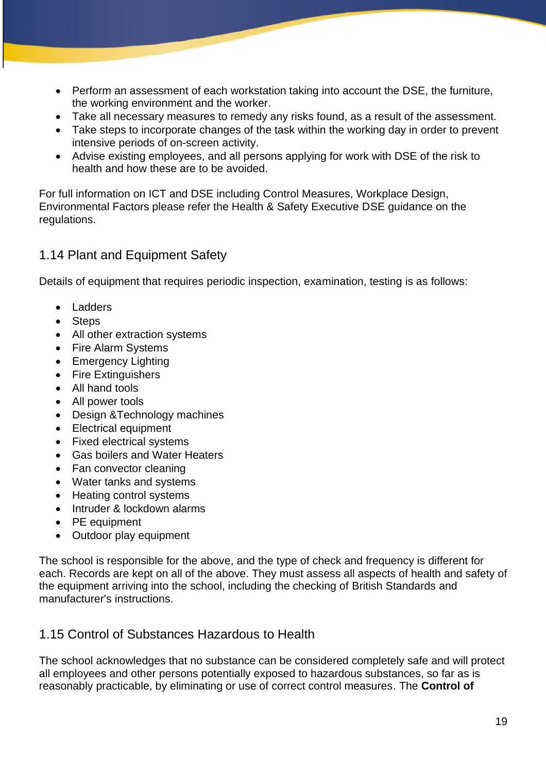- Perform an assessment of each workstation taking into account the DSE, the furniture, the working environment and the worker.
- Take all necessary measures to remedy any risks found, as a result of the assessment.
- Take steps to incorporate changes of the task within the working day in order to prevent intensive periods of on-screen activity.
- Advise existing employees, and all persons applying for work with DSE of the risk to health and how these are to be avoided.

For full information on ICT and DSE including Control Measures, Workplace Design, Environmental Factors please refer the Health & Safety Executive DSE guidance on the regulations.

## 1.14 Plant and Equipment Safety

Details of equipment that requires periodic inspection, examination, testing is as follows:

- **Ladders**
- **Steps**
- All other extraction systems
- Fire Alarm Systems
- Emergency Lighting
- Fire Extinguishers
- All hand tools
- All power tools
- Design &Technology machines
- Electrical equipment
- Fixed electrical systems
- Gas boilers and Water Heaters
- Fan convector cleaning
- Water tanks and systems
- Heating control systems
- Intruder & lockdown alarms
- PE equipment
- Outdoor play equipment

The school is responsible for the above, and the type of check and frequency is different for each. Records are kept on all of the above. They must assess all aspects of health and safety of the equipment arriving into the school, including the checking of British Standards and manufacturer's instructions.

## 1.15 Control of Substances Hazardous to Health

The school acknowledges that no substance can be considered completely safe and will protect all employees and other persons potentially exposed to hazardous substances, so far as is reasonably practicable, by eliminating or use of correct control measures. The **Control of**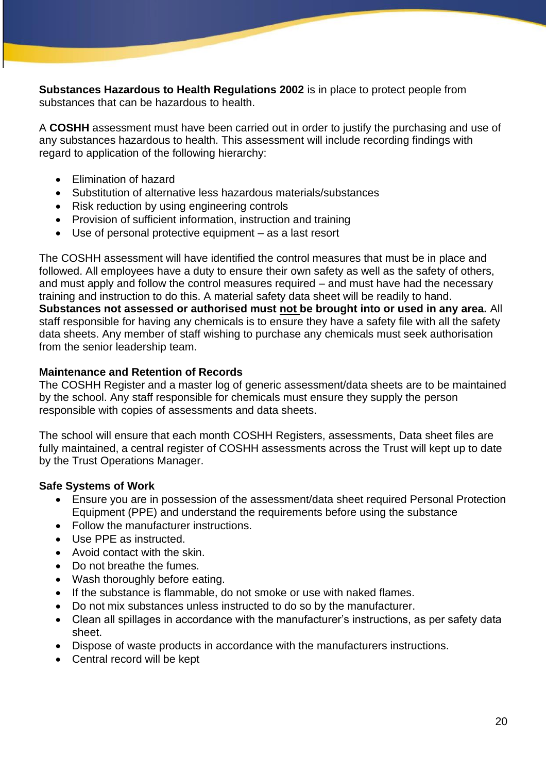**Substances Hazardous to Health Regulations 2002** is in place to protect people from substances that can be hazardous to health.

A **COSHH** assessment must have been carried out in order to justify the purchasing and use of any substances hazardous to health. This assessment will include recording findings with regard to application of the following hierarchy:

- Elimination of hazard
- Substitution of alternative less hazardous materials/substances
- Risk reduction by using engineering controls
- Provision of sufficient information, instruction and training
- Use of personal protective equipment as a last resort

The COSHH assessment will have identified the control measures that must be in place and followed. All employees have a duty to ensure their own safety as well as the safety of others, and must apply and follow the control measures required – and must have had the necessary training and instruction to do this. A material safety data sheet will be readily to hand. **Substances not assessed or authorised must not be brought into or used in any area.** All staff responsible for having any chemicals is to ensure they have a safety file with all the safety data sheets. Any member of staff wishing to purchase any chemicals must seek authorisation from the senior leadership team.

#### **Maintenance and Retention of Records**

The COSHH Register and a master log of generic assessment/data sheets are to be maintained by the school. Any staff responsible for chemicals must ensure they supply the person responsible with copies of assessments and data sheets.

The school will ensure that each month COSHH Registers, assessments, Data sheet files are fully maintained, a central register of COSHH assessments across the Trust will kept up to date by the Trust Operations Manager.

## **Safe Systems of Work**

- Ensure you are in possession of the assessment/data sheet required Personal Protection Equipment (PPE) and understand the requirements before using the substance
- Follow the manufacturer instructions.
- Use PPE as instructed.
- Avoid contact with the skin.
- Do not breathe the fumes.
- Wash thoroughly before eating.
- If the substance is flammable, do not smoke or use with naked flames.
- Do not mix substances unless instructed to do so by the manufacturer.
- Clean all spillages in accordance with the manufacturer's instructions, as per safety data sheet.
- Dispose of waste products in accordance with the manufacturers instructions.
- Central record will be kept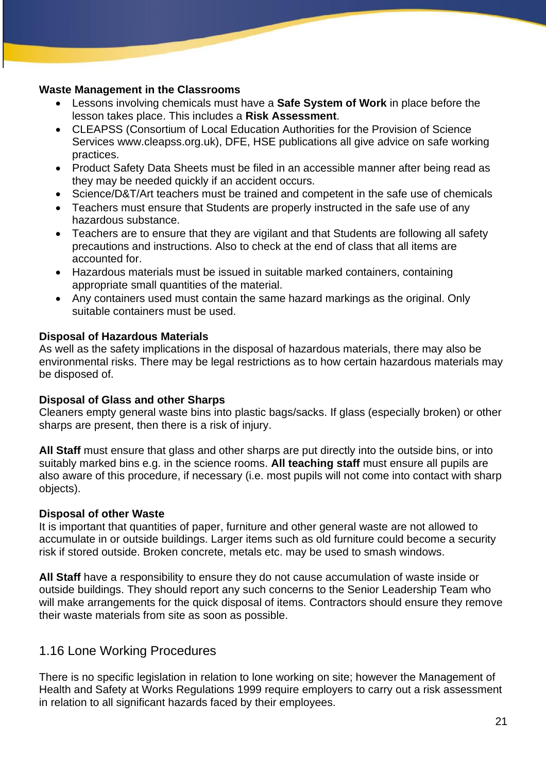#### **Waste Management in the Classrooms**

- Lessons involving chemicals must have a **Safe System of Work** in place before the lesson takes place. This includes a **Risk Assessment**.
- CLEAPSS (Consortium of Local Education Authorities for the Provision of Science Services www.cleapss.org.uk), DFE, HSE publications all give advice on safe working practices.
- Product Safety Data Sheets must be filed in an accessible manner after being read as they may be needed quickly if an accident occurs.
- Science/D&T/Art teachers must be trained and competent in the safe use of chemicals
- Teachers must ensure that Students are properly instructed in the safe use of any hazardous substance.
- Teachers are to ensure that they are vigilant and that Students are following all safety precautions and instructions. Also to check at the end of class that all items are accounted for.
- Hazardous materials must be issued in suitable marked containers, containing appropriate small quantities of the material.
- Any containers used must contain the same hazard markings as the original. Only suitable containers must be used.

## **Disposal of Hazardous Materials**

As well as the safety implications in the disposal of hazardous materials, there may also be environmental risks. There may be legal restrictions as to how certain hazardous materials may be disposed of.

## **Disposal of Glass and other Sharps**

Cleaners empty general waste bins into plastic bags/sacks. If glass (especially broken) or other sharps are present, then there is a risk of injury.

**All Staff** must ensure that glass and other sharps are put directly into the outside bins, or into suitably marked bins e.g. in the science rooms. **All teaching staff** must ensure all pupils are also aware of this procedure, if necessary (i.e. most pupils will not come into contact with sharp objects).

## **Disposal of other Waste**

It is important that quantities of paper, furniture and other general waste are not allowed to accumulate in or outside buildings. Larger items such as old furniture could become a security risk if stored outside. Broken concrete, metals etc. may be used to smash windows.

**All Staff** have a responsibility to ensure they do not cause accumulation of waste inside or outside buildings. They should report any such concerns to the Senior Leadership Team who will make arrangements for the quick disposal of items. Contractors should ensure they remove their waste materials from site as soon as possible.

## 1.16 Lone Working Procedures

There is no specific legislation in relation to lone working on site; however the Management of Health and Safety at Works Regulations 1999 require employers to carry out a risk assessment in relation to all significant hazards faced by their employees.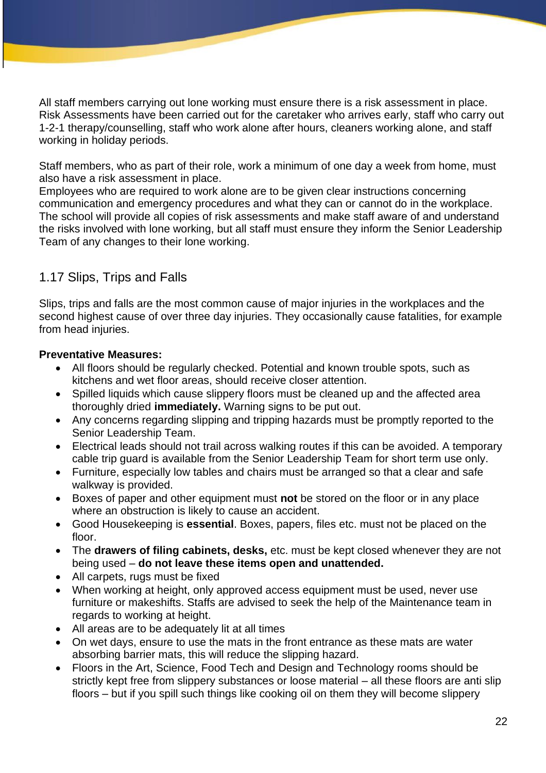All staff members carrying out lone working must ensure there is a risk assessment in place. Risk Assessments have been carried out for the caretaker who arrives early, staff who carry out 1-2-1 therapy/counselling, staff who work alone after hours, cleaners working alone, and staff working in holiday periods.

Staff members, who as part of their role, work a minimum of one day a week from home, must also have a risk assessment in place.

Employees who are required to work alone are to be given clear instructions concerning communication and emergency procedures and what they can or cannot do in the workplace. The school will provide all copies of risk assessments and make staff aware of and understand the risks involved with lone working, but all staff must ensure they inform the Senior Leadership Team of any changes to their lone working.

## 1.17 Slips, Trips and Falls

Slips, trips and falls are the most common cause of major injuries in the workplaces and the second highest cause of over three day injuries. They occasionally cause fatalities, for example from head injuries.

## **Preventative Measures:**

- All floors should be regularly checked. Potential and known trouble spots, such as kitchens and wet floor areas, should receive closer attention.
- Spilled liquids which cause slippery floors must be cleaned up and the affected area thoroughly dried **immediately.** Warning signs to be put out.
- Any concerns regarding slipping and tripping hazards must be promptly reported to the Senior Leadership Team.
- Electrical leads should not trail across walking routes if this can be avoided. A temporary cable trip guard is available from the Senior Leadership Team for short term use only.
- Furniture, especially low tables and chairs must be arranged so that a clear and safe walkway is provided.
- Boxes of paper and other equipment must **not** be stored on the floor or in any place where an obstruction is likely to cause an accident.
- Good Housekeeping is **essential**. Boxes, papers, files etc. must not be placed on the floor.
- The **drawers of filing cabinets, desks,** etc. must be kept closed whenever they are not being used – **do not leave these items open and unattended.**
- All carpets, rugs must be fixed
- When working at height, only approved access equipment must be used, never use furniture or makeshifts. Staffs are advised to seek the help of the Maintenance team in regards to working at height.
- All areas are to be adequately lit at all times
- On wet days, ensure to use the mats in the front entrance as these mats are water absorbing barrier mats, this will reduce the slipping hazard.
- Floors in the Art, Science, Food Tech and Design and Technology rooms should be strictly kept free from slippery substances or loose material – all these floors are anti slip floors – but if you spill such things like cooking oil on them they will become slippery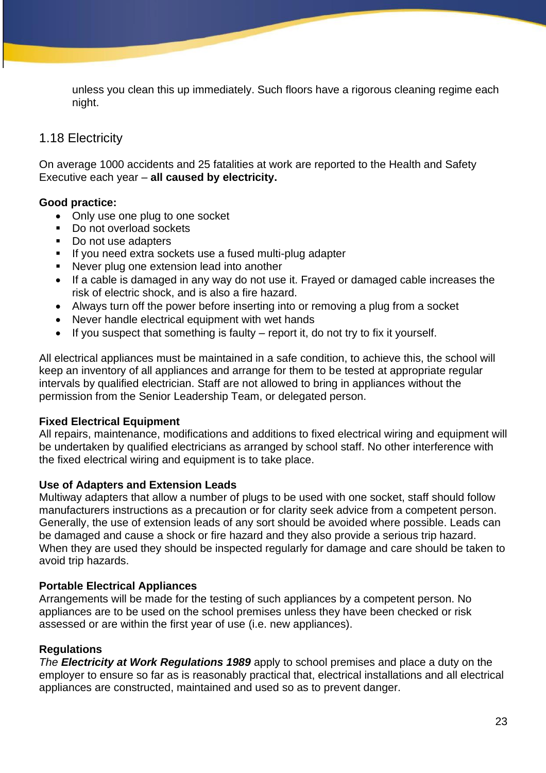unless you clean this up immediately. Such floors have a rigorous cleaning regime each night.

## 1.18 Electricity

On average 1000 accidents and 25 fatalities at work are reported to the Health and Safety Executive each year – **all caused by electricity.**

## **Good practice:**

- Only use one plug to one socket
- Do not overload sockets
- Do not use adapters
- If you need extra sockets use a fused multi-plug adapter
- Never plug one extension lead into another
- If a cable is damaged in any way do not use it. Frayed or damaged cable increases the risk of electric shock, and is also a fire hazard.
- Always turn off the power before inserting into or removing a plug from a socket
- Never handle electrical equipment with wet hands
- If you suspect that something is faulty  $-$  report it, do not try to fix it yourself.

All electrical appliances must be maintained in a safe condition, to achieve this, the school will keep an inventory of all appliances and arrange for them to be tested at appropriate regular intervals by qualified electrician. Staff are not allowed to bring in appliances without the permission from the Senior Leadership Team, or delegated person.

#### **Fixed Electrical Equipment**

All repairs, maintenance, modifications and additions to fixed electrical wiring and equipment will be undertaken by qualified electricians as arranged by school staff. No other interference with the fixed electrical wiring and equipment is to take place.

#### **Use of Adapters and Extension Leads**

Multiway adapters that allow a number of plugs to be used with one socket, staff should follow manufacturers instructions as a precaution or for clarity seek advice from a competent person. Generally, the use of extension leads of any sort should be avoided where possible. Leads can be damaged and cause a shock or fire hazard and they also provide a serious trip hazard. When they are used they should be inspected regularly for damage and care should be taken to avoid trip hazards.

## **Portable Electrical Appliances**

Arrangements will be made for the testing of such appliances by a competent person. No appliances are to be used on the school premises unless they have been checked or risk assessed or are within the first year of use (i.e. new appliances).

## **Regulations**

*The Electricity at Work Regulations 1989* apply to school premises and place a duty on the employer to ensure so far as is reasonably practical that, electrical installations and all electrical appliances are constructed, maintained and used so as to prevent danger.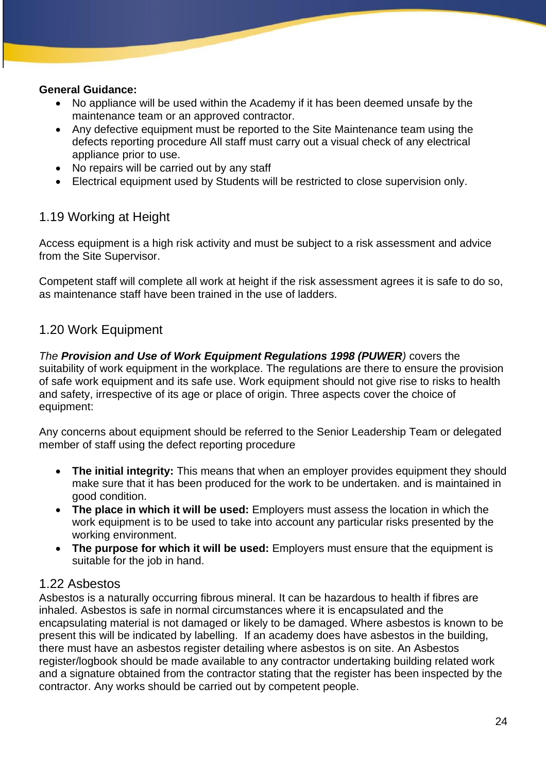#### **General Guidance:**

- No appliance will be used within the Academy if it has been deemed unsafe by the maintenance team or an approved contractor.
- Any defective equipment must be reported to the Site Maintenance team using the defects reporting procedure All staff must carry out a visual check of any electrical appliance prior to use.
- No repairs will be carried out by any staff
- Electrical equipment used by Students will be restricted to close supervision only.

## 1.19 Working at Height

Access equipment is a high risk activity and must be subject to a risk assessment and advice from the Site Supervisor.

Competent staff will complete all work at height if the risk assessment agrees it is safe to do so, as maintenance staff have been trained in the use of ladders.

## 1.20 Work Equipment

*The Provision and Use of Work Equipment Regulations 1998 (PUWER)* covers the suitability of work equipment in the workplace. The regulations are there to ensure the provision of safe work equipment and its safe use. Work equipment should not give rise to risks to health and safety, irrespective of its age or place of origin. Three aspects cover the choice of equipment:

Any concerns about equipment should be referred to the Senior Leadership Team or delegated member of staff using the defect reporting procedure

- **The initial integrity:** This means that when an employer provides equipment they should make sure that it has been produced for the work to be undertaken. and is maintained in good condition.
- **The place in which it will be used:** Employers must assess the location in which the work equipment is to be used to take into account any particular risks presented by the working environment.
- **The purpose for which it will be used:** Employers must ensure that the equipment is suitable for the job in hand.

## 1.22 Asbestos

Asbestos is a naturally occurring fibrous mineral. It can be hazardous to health if fibres are inhaled. Asbestos is safe in normal circumstances where it is encapsulated and the encapsulating material is not damaged or likely to be damaged. Where asbestos is known to be present this will be indicated by labelling. If an academy does have asbestos in the building, there must have an asbestos register detailing where asbestos is on site. An Asbestos register/logbook should be made available to any contractor undertaking building related work and a signature obtained from the contractor stating that the register has been inspected by the contractor. Any works should be carried out by competent people.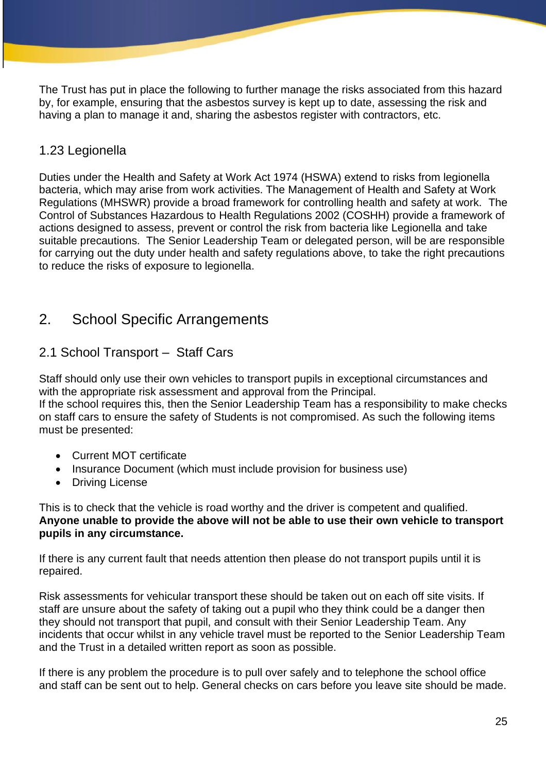The Trust has put in place the following to further manage the risks associated from this hazard by, for example, ensuring that the asbestos survey is kept up to date, assessing the risk and having a plan to manage it and, sharing the asbestos register with contractors, etc.

## 1.23 Legionella

Duties under the Health and Safety at Work Act 1974 (HSWA) extend to risks from legionella bacteria, which may arise from work activities. The Management of Health and Safety at Work Regulations (MHSWR) provide a broad framework for controlling health and safety at work. The Control of Substances Hazardous to Health Regulations 2002 (COSHH) provide a framework of actions designed to assess, prevent or control the risk from bacteria like Legionella and take suitable precautions. The Senior Leadership Team or delegated person, will be are responsible for carrying out the duty under health and safety regulations above, to take the right precautions to reduce the risks of exposure to legionella.

# 2. School Specific Arrangements

## 2.1 School Transport – Staff Cars

Staff should only use their own vehicles to transport pupils in exceptional circumstances and with the appropriate risk assessment and approval from the Principal. If the school requires this, then the Senior Leadership Team has a responsibility to make checks on staff cars to ensure the safety of Students is not compromised. As such the following items must be presented:

- Current MOT certificate
- Insurance Document (which must include provision for business use)
- Driving License

This is to check that the vehicle is road worthy and the driver is competent and qualified. **Anyone unable to provide the above will not be able to use their own vehicle to transport pupils in any circumstance.**

If there is any current fault that needs attention then please do not transport pupils until it is repaired.

Risk assessments for vehicular transport these should be taken out on each off site visits. If staff are unsure about the safety of taking out a pupil who they think could be a danger then they should not transport that pupil, and consult with their Senior Leadership Team. Any incidents that occur whilst in any vehicle travel must be reported to the Senior Leadership Team and the Trust in a detailed written report as soon as possible.

If there is any problem the procedure is to pull over safely and to telephone the school office and staff can be sent out to help. General checks on cars before you leave site should be made.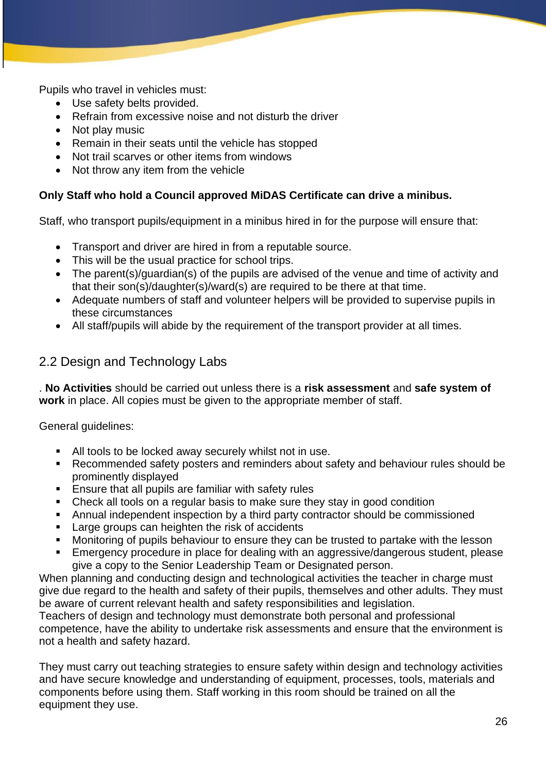Pupils who travel in vehicles must:

- Use safety belts provided.
- Refrain from excessive noise and not disturb the driver
- Not play music
- Remain in their seats until the vehicle has stopped
- Not trail scarves or other items from windows
- Not throw any item from the vehicle

#### **Only Staff who hold a Council approved MiDAS Certificate can drive a minibus.**

Staff, who transport pupils/equipment in a minibus hired in for the purpose will ensure that:

- Transport and driver are hired in from a reputable source.
- This will be the usual practice for school trips.
- The parent(s)/guardian(s) of the pupils are advised of the venue and time of activity and that their son(s)/daughter(s)/ward(s) are required to be there at that time.
- Adequate numbers of staff and volunteer helpers will be provided to supervise pupils in these circumstances
- All staff/pupils will abide by the requirement of the transport provider at all times.

## 2.2 Design and Technology Labs

. **No Activities** should be carried out unless there is a **risk assessment** and **safe system of work** in place. All copies must be given to the appropriate member of staff.

General guidelines:

- All tools to be locked away securely whilst not in use.
- Recommended safety posters and reminders about safety and behaviour rules should be prominently displayed
- **Ensure that all pupils are familiar with safety rules**
- Check all tools on a regular basis to make sure they stay in good condition
- Annual independent inspection by a third party contractor should be commissioned
- Large groups can heighten the risk of accidents
- Monitoring of pupils behaviour to ensure they can be trusted to partake with the lesson
- Emergency procedure in place for dealing with an aggressive/dangerous student, please give a copy to the Senior Leadership Team or Designated person.

When planning and conducting design and technological activities the teacher in charge must give due regard to the health and safety of their pupils, themselves and other adults. They must be aware of current relevant health and safety responsibilities and legislation.

Teachers of design and technology must demonstrate both personal and professional competence, have the ability to undertake risk assessments and ensure that the environment is not a health and safety hazard.

They must carry out teaching strategies to ensure safety within design and technology activities and have secure knowledge and understanding of equipment, processes, tools, materials and components before using them. Staff working in this room should be trained on all the equipment they use.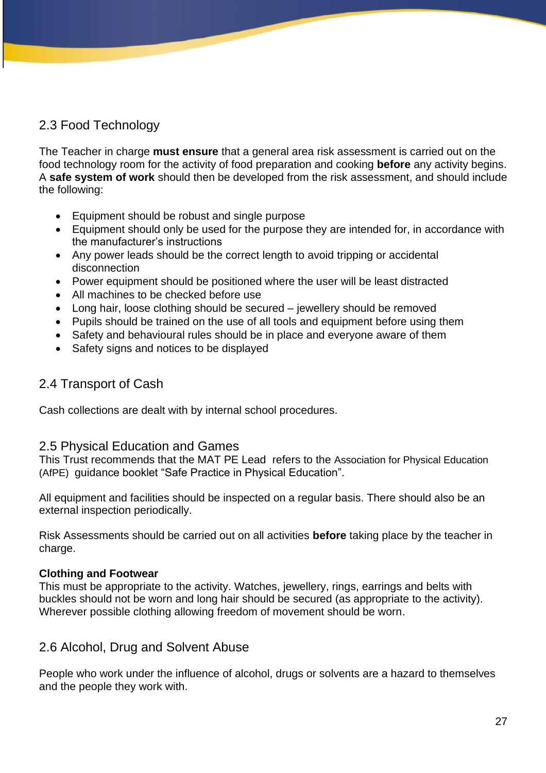## 2.3 Food Technology

The Teacher in charge **must ensure** that a general area risk assessment is carried out on the food technology room for the activity of food preparation and cooking **before** any activity begins. A **safe system of work** should then be developed from the risk assessment, and should include the following:

- Equipment should be robust and single purpose
- Equipment should only be used for the purpose they are intended for, in accordance with the manufacturer's instructions
- Any power leads should be the correct length to avoid tripping or accidental disconnection
- Power equipment should be positioned where the user will be least distracted
- All machines to be checked before use
- Long hair, loose clothing should be secured jewellery should be removed
- Pupils should be trained on the use of all tools and equipment before using them
- Safety and behavioural rules should be in place and everyone aware of them
- Safety signs and notices to be displayed

## 2.4 Transport of Cash

Cash collections are dealt with by internal school procedures.

## 2.5 Physical Education and Games

This Trust recommends that the MAT PE Lead refers to the Association for Physical Education (AfPE) guidance booklet "Safe Practice in Physical Education".

All equipment and facilities should be inspected on a regular basis. There should also be an external inspection periodically.

Risk Assessments should be carried out on all activities **before** taking place by the teacher in charge.

#### **Clothing and Footwear**

This must be appropriate to the activity. Watches, jewellery, rings, earrings and belts with buckles should not be worn and long hair should be secured (as appropriate to the activity). Wherever possible clothing allowing freedom of movement should be worn.

## 2.6 Alcohol, Drug and Solvent Abuse

People who work under the influence of alcohol, drugs or solvents are a hazard to themselves and the people they work with.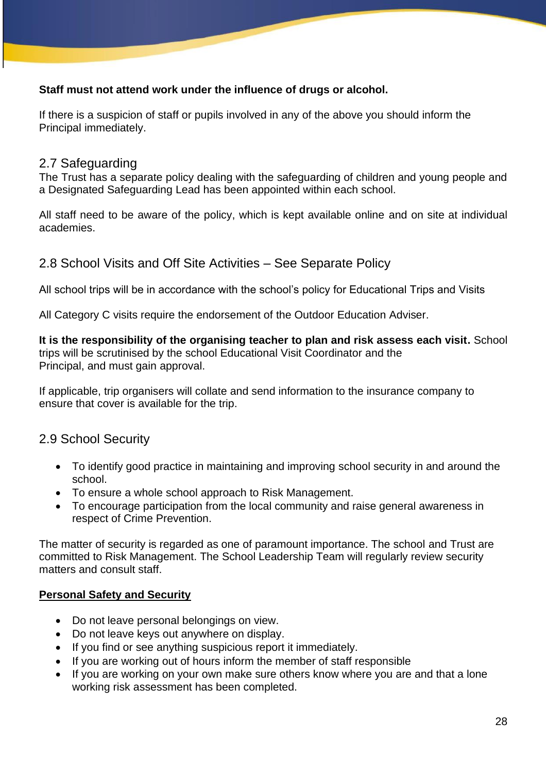## **Staff must not attend work under the influence of drugs or alcohol.**

If there is a suspicion of staff or pupils involved in any of the above you should inform the Principal immediately.

## 2.7 Safeguarding

The Trust has a separate policy dealing with the safeguarding of children and young people and a Designated Safeguarding Lead has been appointed within each school.

All staff need to be aware of the policy, which is kept available online and on site at individual academies.

## 2.8 School Visits and Off Site Activities – See Separate Policy

All school trips will be in accordance with the school's policy for Educational Trips and Visits

All Category C visits require the endorsement of the Outdoor Education Adviser.

## **It is the responsibility of the organising teacher to plan and risk assess each visit.** School

trips will be scrutinised by the school Educational Visit Coordinator and the Principal, and must gain approval.

If applicable, trip organisers will collate and send information to the insurance company to ensure that cover is available for the trip.

## 2.9 School Security

- To identify good practice in maintaining and improving school security in and around the school.
- To ensure a whole school approach to Risk Management.
- To encourage participation from the local community and raise general awareness in respect of Crime Prevention.

The matter of security is regarded as one of paramount importance. The school and Trust are committed to Risk Management. The School Leadership Team will regularly review security matters and consult staff.

## **Personal Safety and Security**

- Do not leave personal belongings on view.
- Do not leave keys out anywhere on display.
- If you find or see anything suspicious report it immediately.
- If you are working out of hours inform the member of staff responsible
- If you are working on your own make sure others know where you are and that a lone working risk assessment has been completed.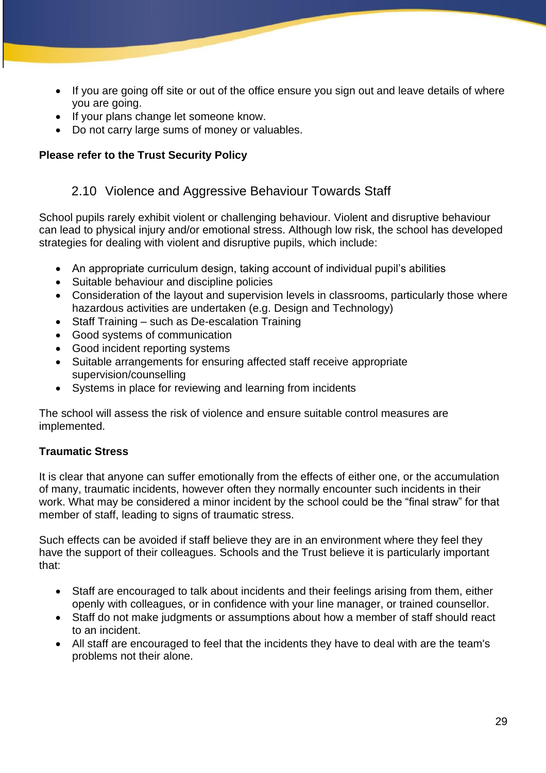- If you are going off site or out of the office ensure you sign out and leave details of where you are going.
- If your plans change let someone know.
- Do not carry large sums of money or valuables.

## **Please refer to the Trust Security Policy**

## 2.10 Violence and Aggressive Behaviour Towards Staff

School pupils rarely exhibit violent or challenging behaviour. Violent and disruptive behaviour can lead to physical injury and/or emotional stress. Although low risk, the school has developed strategies for dealing with violent and disruptive pupils, which include:

- An appropriate curriculum design, taking account of individual pupil's abilities
- Suitable behaviour and discipline policies
- Consideration of the layout and supervision levels in classrooms, particularly those where hazardous activities are undertaken (e.g. Design and Technology)
- Staff Training such as De-escalation Training
- Good systems of communication
- Good incident reporting systems
- Suitable arrangements for ensuring affected staff receive appropriate supervision/counselling
- Systems in place for reviewing and learning from incidents

The school will assess the risk of violence and ensure suitable control measures are implemented.

## **Traumatic Stress**

It is clear that anyone can suffer emotionally from the effects of either one, or the accumulation of many, traumatic incidents, however often they normally encounter such incidents in their work. What may be considered a minor incident by the school could be the "final straw" for that member of staff, leading to signs of traumatic stress.

Such effects can be avoided if staff believe they are in an environment where they feel they have the support of their colleagues. Schools and the Trust believe it is particularly important that:

- Staff are encouraged to talk about incidents and their feelings arising from them, either openly with colleagues, or in confidence with your line manager, or trained counsellor.
- Staff do not make judgments or assumptions about how a member of staff should react to an incident.
- All staff are encouraged to feel that the incidents they have to deal with are the team's problems not their alone.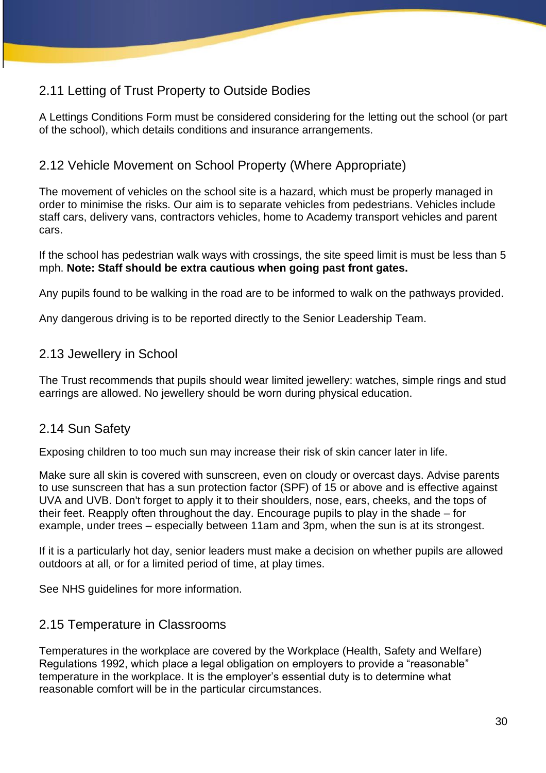# 2.11 Letting of Trust Property to Outside Bodies

A Lettings Conditions Form must be considered considering for the letting out the school (or part of the school), which details conditions and insurance arrangements.

## 2.12 Vehicle Movement on School Property (Where Appropriate)

The movement of vehicles on the school site is a hazard, which must be properly managed in order to minimise the risks. Our aim is to separate vehicles from pedestrians. Vehicles include staff cars, delivery vans, contractors vehicles, home to Academy transport vehicles and parent cars.

If the school has pedestrian walk ways with crossings, the site speed limit is must be less than 5 mph. **Note: Staff should be extra cautious when going past front gates.** 

Any pupils found to be walking in the road are to be informed to walk on the pathways provided.

Any dangerous driving is to be reported directly to the Senior Leadership Team.

## 2.13 Jewellery in School

The Trust recommends that pupils should wear limited jewellery: watches, simple rings and stud earrings are allowed. No jewellery should be worn during physical education.

## 2.14 Sun Safety

Exposing children to too much sun may increase their risk of skin cancer later in life.

Make sure all skin is covered with sunscreen, even on cloudy or overcast days. Advise parents to use sunscreen that has a sun protection factor (SPF) of 15 or above and is effective against UVA and UVB. Don't forget to apply it to their shoulders, nose, ears, cheeks, and the tops of their feet. Reapply often throughout the day. Encourage pupils to play in the shade – for example, under trees – especially between 11am and 3pm, when the sun is at its strongest.

If it is a particularly hot day, senior leaders must make a decision on whether pupils are allowed outdoors at all, or for a limited period of time, at play times.

See NHS quidelines for more information.

## 2.15 Temperature in Classrooms

Temperatures in the workplace are covered by the Workplace (Health, Safety and Welfare) Regulations 1992, which place a legal obligation on employers to provide a "reasonable" temperature in the workplace. It is the employer's essential duty is to determine what reasonable comfort will be in the particular circumstances.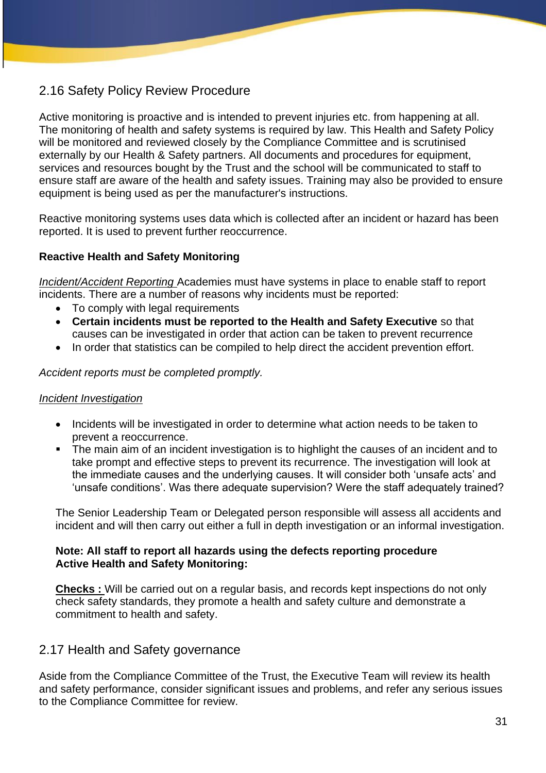# 2.16 Safety Policy Review Procedure

Active monitoring is proactive and is intended to prevent injuries etc. from happening at all. The monitoring of health and safety systems is required by law. This Health and Safety Policy will be monitored and reviewed closely by the Compliance Committee and is scrutinised externally by our Health & Safety partners. All documents and procedures for equipment, services and resources bought by the Trust and the school will be communicated to staff to ensure staff are aware of the health and safety issues. Training may also be provided to ensure equipment is being used as per the manufacturer's instructions.

Reactive monitoring systems uses data which is collected after an incident or hazard has been reported. It is used to prevent further reoccurrence.

## **Reactive Health and Safety Monitoring**

*Incident/Accident Reporting* Academies must have systems in place to enable staff to report incidents. There are a number of reasons why incidents must be reported:

- To comply with legal requirements
- **Certain incidents must be reported to the Health and Safety Executive** so that causes can be investigated in order that action can be taken to prevent recurrence
- In order that statistics can be compiled to help direct the accident prevention effort.

*Accident reports must be completed promptly.* 

#### *Incident Investigation*

- Incidents will be investigated in order to determine what action needs to be taken to prevent a reoccurrence.
- The main aim of an incident investigation is to highlight the causes of an incident and to take prompt and effective steps to prevent its recurrence. The investigation will look at the immediate causes and the underlying causes. It will consider both 'unsafe acts' and 'unsafe conditions'. Was there adequate supervision? Were the staff adequately trained?

The Senior Leadership Team or Delegated person responsible will assess all accidents and incident and will then carry out either a full in depth investigation or an informal investigation.

#### **Note: All staff to report all hazards using the defects reporting procedure Active Health and Safety Monitoring:**

**Checks :** Will be carried out on a regular basis, and records kept inspections do not only check safety standards, they promote a health and safety culture and demonstrate a commitment to health and safety.

## 2.17 Health and Safety governance

Aside from the Compliance Committee of the Trust, the Executive Team will review its health and safety performance, consider significant issues and problems, and refer any serious issues to the Compliance Committee for review.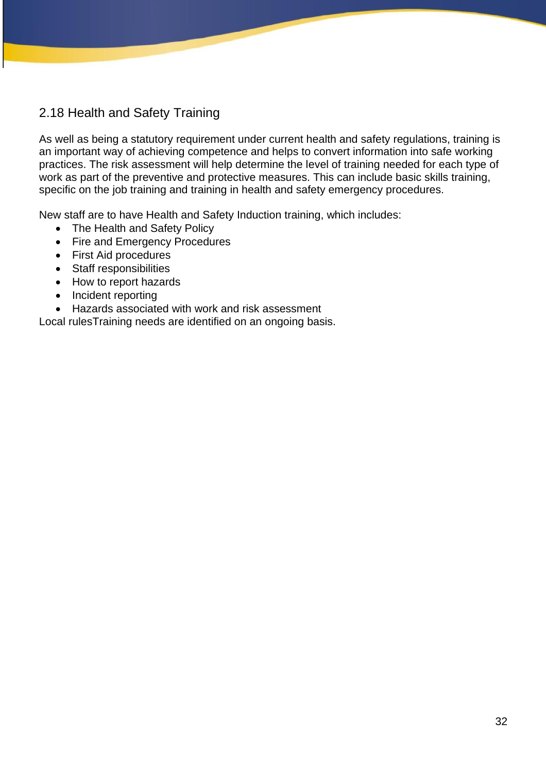# 2.18 Health and Safety Training

As well as being a statutory requirement under current health and safety regulations, training is an important way of achieving competence and helps to convert information into safe working practices. The risk assessment will help determine the level of training needed for each type of work as part of the preventive and protective measures. This can include basic skills training, specific on the job training and training in health and safety emergency procedures.

New staff are to have Health and Safety Induction training, which includes:

- The Health and Safety Policy
- Fire and Emergency Procedures
- First Aid procedures
- Staff responsibilities
- How to report hazards
- Incident reporting
- Hazards associated with work and risk assessment

Local rulesTraining needs are identified on an ongoing basis.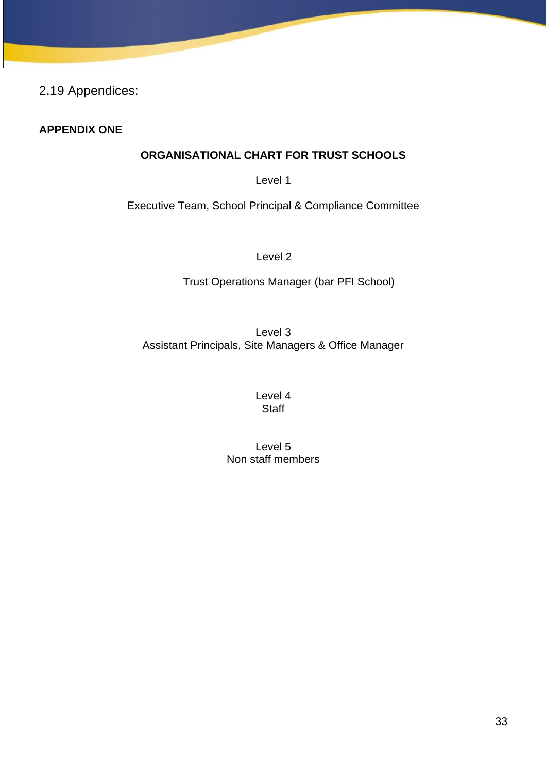2.19 Appendices:

## **APPENDIX ONE**

## **ORGANISATIONAL CHART FOR TRUST SCHOOLS**

Level 1

Executive Team, School Principal & Compliance Committee

Level 2

Trust Operations Manager (bar PFI School)

Level 3 Assistant Principals, Site Managers & Office Manager

> Level 4 **Staff**

Level 5 Non staff members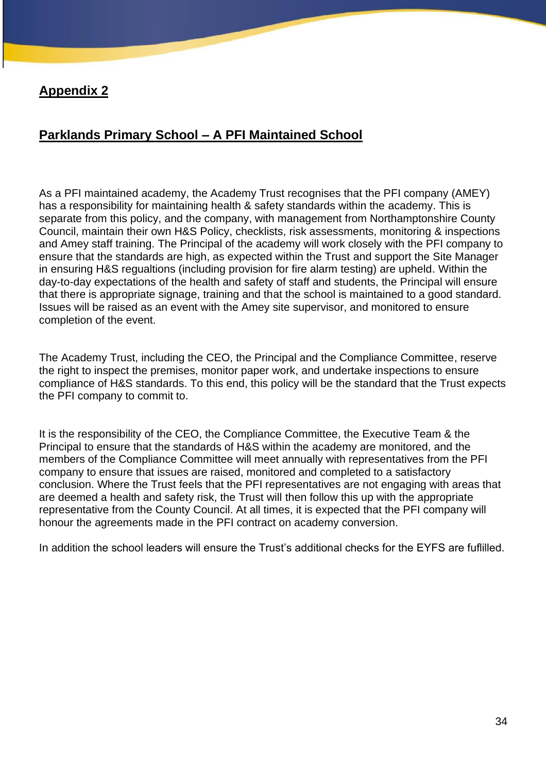## **Appendix 2**

# **Parklands Primary School – A PFI Maintained School**

As a PFI maintained academy, the Academy Trust recognises that the PFI company (AMEY) has a responsibility for maintaining health & safety standards within the academy. This is separate from this policy, and the company, with management from Northamptonshire County Council, maintain their own H&S Policy, checklists, risk assessments, monitoring & inspections and Amey staff training. The Principal of the academy will work closely with the PFI company to ensure that the standards are high, as expected within the Trust and support the Site Manager in ensuring H&S regualtions (including provision for fire alarm testing) are upheld. Within the day-to-day expectations of the health and safety of staff and students, the Principal will ensure that there is appropriate signage, training and that the school is maintained to a good standard. Issues will be raised as an event with the Amey site supervisor, and monitored to ensure completion of the event.

The Academy Trust, including the CEO, the Principal and the Compliance Committee, reserve the right to inspect the premises, monitor paper work, and undertake inspections to ensure compliance of H&S standards. To this end, this policy will be the standard that the Trust expects the PFI company to commit to.

It is the responsibility of the CEO, the Compliance Committee, the Executive Team & the Principal to ensure that the standards of H&S within the academy are monitored, and the members of the Compliance Committee will meet annually with representatives from the PFI company to ensure that issues are raised, monitored and completed to a satisfactory conclusion. Where the Trust feels that the PFI representatives are not engaging with areas that are deemed a health and safety risk, the Trust will then follow this up with the appropriate representative from the County Council. At all times, it is expected that the PFI company will honour the agreements made in the PFI contract on academy conversion.

In addition the school leaders will ensure the Trust's additional checks for the EYFS are fuflilled.